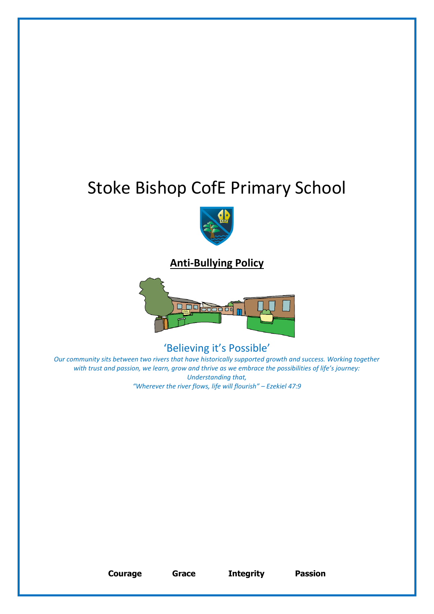# Stoke Bishop CofE Primary School



**Anti-Bullying Policy**



'Believing it's Possible'

*Our community sits between two rivers that have historically supported growth and success. Working together with trust and passion, we learn, grow and thrive as we embrace the possibilities of life's journey: Understanding that, "Wherever the river flows, life will flourish" – Ezekiel 47:9* 

**Courage Grace Integrity Passion**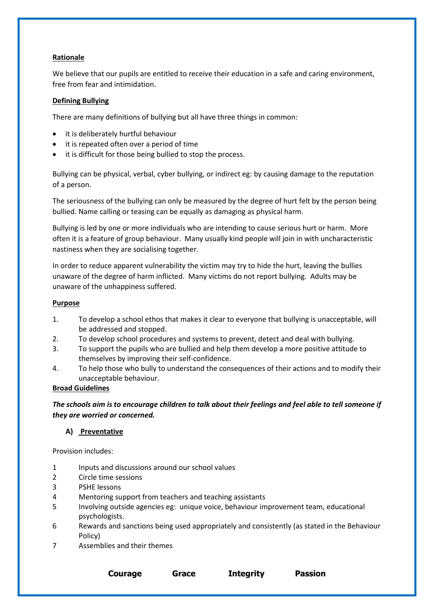# **Rationale**

We believe that our pupils are entitled to receive their education in a safe and caring environment, free from fear and intimidation.

## **Defining Bullying**

There are many definitions of bullying but all have three things in common:

- it is deliberately hurtful behaviour
- it is repeated often over a period of time
- it is difficult for those being bullied to stop the process.

Bullying can be physical, verbal, cyber bullying, or indirect eg: by causing damage to the reputation of a person.

The seriousness of the bullying can only be measured by the degree of hurt felt by the person being bullied. Name calling or teasing can be equally as damaging as physical harm.

Bullying is led by one or more individuals who are intending to cause serious hurt or harm. More often it is a feature of group behaviour. Many usually kind people will join in with uncharacteristic nastiness when they are socialising together.

In order to reduce apparent vulnerability the victim may try to hide the hurt, leaving the bullies unaware of the degree of harm inflicted. Many victims do not report bullying. Adults may be unaware of the unhappiness suffered.

#### **Purpose**

- 1. To develop a school ethos that makes it clear to everyone that bullying is unacceptable, will be addressed and stopped.
- 2. To develop school procedures and systems to prevent, detect and deal with bullying.
- 3. To support the pupils who are bullied and help them develop a more positive attitude to themselves by improving their self-confidence.
- 4. To help those who bully to understand the consequences of their actions and to modify their unacceptable behaviour.

#### **Broad Guidelines**

*The schools aim is to encourage children to talk about their feelings and feel able to tell someone if they are worried or concerned.*

#### **A) Preventative**

Provision includes:

- 1 Inputs and discussions around our school values
- 2 Circle time sessions
- 3 PSHE lessons
- 4 Mentoring support from teachers and teaching assistants
- 5 Involving outside agencies eg: unique voice, behaviour improvement team, educational psychologists.
- 6 Rewards and sanctions being used appropriately and consistently (as stated in the Behaviour Policy)

**Courage Grace Integrity Passion**

7 Assemblies and their themes